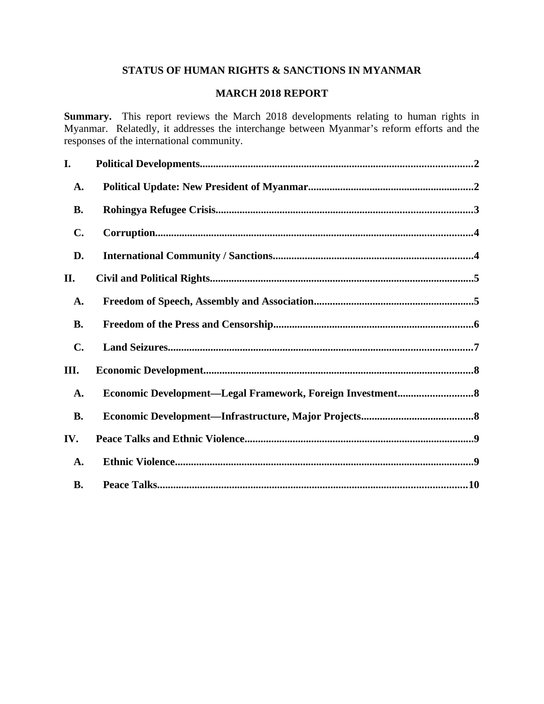## **STATUS OF HUMAN RIGHTS & SANCTIONS IN MYANMAR**

# **MARCH 2018 REPORT**

**Summary.** This report reviews the March 2018 developments relating to human rights in Myanmar. Relatedly, it addresses the interchange between Myanmar's reform efforts and the responses of the international community.

| I.             |  |
|----------------|--|
| A.             |  |
| <b>B.</b>      |  |
| $\mathbf{C}$ . |  |
| D.             |  |
| II.            |  |
| A.             |  |
| <b>B.</b>      |  |
| $\mathbf{C}$ . |  |
| III.           |  |
| A.             |  |
| <b>B.</b>      |  |
| IV.            |  |
| A.             |  |
| <b>B.</b>      |  |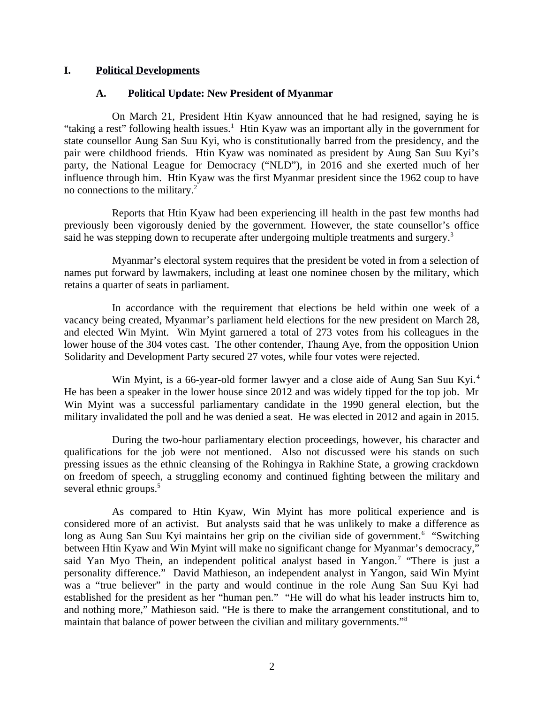#### **I. Political Developments**

#### <span id="page-1-1"></span><span id="page-1-0"></span>**A. Political Update: New President of Myanmar**

On March 21, President Htin Kyaw announced that he had resigned, saying he is "taking a rest" following health issues.<sup>1</sup> Htin Kyaw was an important ally in the government for state counsellor Aung San Suu Kyi, who is constitutionally barred from the presidency, and the pair were childhood friends. Htin Kyaw was nominated as president by Aung San Suu Kyi's party, the National League for Democracy ("NLD"), in 2016 and she exerted much of her influence through him. Htin Kyaw was the first Myanmar president since the 1962 coup to have no connections to the military.<sup>2</sup>

Reports that Htin Kyaw had been experiencing ill health in the past few months had previously been vigorously denied by the government. However, the state counsellor's office said he was stepping down to recuperate after undergoing multiple treatments and surgery.<sup>3</sup>

Myanmar's electoral system requires that the president be voted in from a selection of names put forward by lawmakers, including at least one nominee chosen by the military, which retains a quarter of seats in parliament.

In accordance with the requirement that elections be held within one week of a vacancy being created, Myanmar's parliament held elections for the new president on March 28, and elected Win Myint. Win Myint garnered a total of 273 votes from his colleagues in the lower house of the 304 votes cast. The other contender, Thaung Aye, from the opposition Union Solidarity and Development Party secured 27 votes, while four votes were rejected.

Win Myint, is a 66-year-old former lawyer and a close aide of Aung San Suu Kyi.<sup>4</sup> He has been a speaker in the lower house since 2012 and was widely tipped for the top job. Mr Win Myint was a successful parliamentary candidate in the 1990 general election, but the military invalidated the poll and he was denied a seat. He was elected in 2012 and again in 2015.

During the two-hour parliamentary election proceedings, however, his character and qualifications for the job were not mentioned. Also not discussed were his stands on such pressing issues as the ethnic cleansing of the Rohingya in Rakhine State, a growing crackdown on freedom of speech, a struggling economy and continued fighting between the military and several ethnic groups.<sup>5</sup>

As compared to Htin Kyaw, Win Myint has more political experience and is considered more of an activist. But analysts said that he was unlikely to make a difference as long as Aung San Suu Kyi maintains her grip on the civilian side of government.<sup>6</sup> "Switching between Htin Kyaw and Win Myint will make no significant change for Myanmar's democracy," said Yan Myo Thein, an independent political analyst based in Yangon.<sup>7</sup> "There is just a personality difference." David Mathieson, an independent analyst in Yangon, said Win Myint was a "true believer" in the party and would continue in the role Aung San Suu Kyi had established for the president as her "human pen." "He will do what his leader instructs him to, and nothing more," Mathieson said. "He is there to make the arrangement constitutional, and to maintain that balance of power between the civilian and military governments."<sup>8</sup>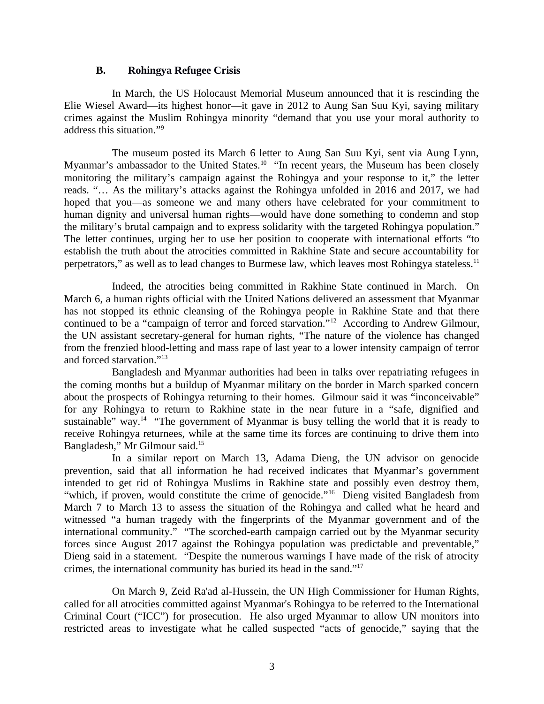#### <span id="page-2-0"></span>**B. Rohingya Refugee Crisis**

In March, the US Holocaust Memorial Museum announced that it is rescinding the Elie Wiesel Award—its highest honor—it gave in 2012 to Aung San Suu Kyi, saying military crimes against the Muslim Rohingya minority "demand that you use your moral authority to address this situation."<sup>9</sup>

The museum posted its March 6 letter to Aung San Suu Kyi, sent via Aung Lynn, Myanmar's ambassador to the United States.<sup>10</sup> "In recent years, the Museum has been closely monitoring the military's campaign against the Rohingya and your response to it," the letter reads. "… As the military's attacks against the Rohingya unfolded in 2016 and 2017, we had hoped that you—as someone we and many others have celebrated for your commitment to human dignity and universal human rights—would have done something to condemn and stop the military's brutal campaign and to express solidarity with the targeted Rohingya population." The letter continues, urging her to use her position to cooperate with international efforts "to establish the truth about the atrocities committed in Rakhine State and secure accountability for perpetrators," as well as to lead changes to Burmese law, which leaves most Rohingya stateless.<sup>11</sup>

Indeed, the atrocities being committed in Rakhine State continued in March. On March 6, a human rights official with the United Nations delivered an assessment that Myanmar has not stopped its ethnic cleansing of the Rohingya people in Rakhine State and that there continued to be a "campaign of terror and forced starvation."<sup>12</sup> According to Andrew Gilmour, the UN assistant secretary-general for human rights, "The nature of the violence has changed from the frenzied blood-letting and mass rape of last year to a lower intensity campaign of terror and forced starvation."<sup>13</sup>

Bangladesh and Myanmar authorities had been in talks over repatriating refugees in the coming months but a buildup of Myanmar military on the border in March sparked concern about the prospects of Rohingya returning to their homes. Gilmour said it was "inconceivable" for any Rohingya to return to Rakhine state in the near future in a "safe, dignified and sustainable" way.<sup>14</sup> "The government of Myanmar is busy telling the world that it is ready to receive Rohingya returnees, while at the same time its forces are continuing to drive them into Bangladesh," Mr Gilmour said.<sup>15</sup>

In a similar report on March 13, Adama Dieng, the UN advisor on genocide prevention, said that all information he had received indicates that Myanmar's government intended to get rid of Rohingya Muslims in Rakhine state and possibly even destroy them, "which, if proven, would constitute the crime of genocide."<sup>16</sup> Dieng visited Bangladesh from March 7 to March 13 to assess the situation of the Rohingya and called what he heard and witnessed "a human tragedy with the fingerprints of the Myanmar government and of the international community." "The scorched-earth campaign carried out by the Myanmar security forces since August 2017 against the Rohingya population was predictable and preventable," Dieng said in a statement. "Despite the numerous warnings I have made of the risk of atrocity crimes, the international community has buried its head in the sand."<sup>17</sup>

On March 9, Zeid Ra'ad al-Hussein, the UN High Commissioner for Human Rights, called for all atrocities committed against Myanmar's Rohingya to be referred to the International Criminal Court ("ICC") for prosecution. He also urged Myanmar to allow UN monitors into restricted areas to investigate what he called suspected "acts of genocide," saying that the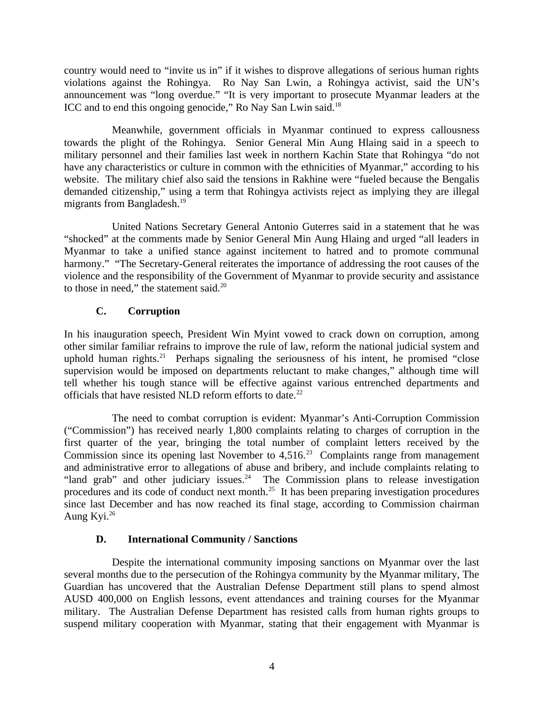country would need to "invite us in" if it wishes to disprove allegations of serious human rights violations against the Rohingya. Ro Nay San Lwin, a Rohingya activist, said the UN's announcement was "long overdue." "It is very important to prosecute Myanmar leaders at the ICC and to end this ongoing genocide," Ro Nay San Lwin said.<sup>18</sup>

Meanwhile, government officials in Myanmar continued to express callousness towards the plight of the Rohingya. Senior General Min Aung Hlaing said in a speech to military personnel and their families last week in northern Kachin State that Rohingya "do not have any characteristics or culture in common with the ethnicities of Myanmar," according to his website. The military chief also said the tensions in Rakhine were "fueled because the Bengalis demanded citizenship," using a term that Rohingya activists reject as implying they are illegal migrants from Bangladesh.<sup>19</sup>

United Nations Secretary General Antonio Guterres said in a statement that he was "shocked" at the comments made by Senior General Min Aung Hlaing and urged "all leaders in Myanmar to take a unified stance against incitement to hatred and to promote communal harmony." "The Secretary-General reiterates the importance of addressing the root causes of the violence and the responsibility of the Government of Myanmar to provide security and assistance to those in need," the statement said.<sup>20</sup>

# <span id="page-3-1"></span>**C. Corruption**

In his inauguration speech, President Win Myint vowed to crack down on corruption, among other similar familiar refrains to improve the rule of law, reform the national judicial system and uphold human rights.<sup>21</sup> Perhaps signaling the seriousness of his intent, he promised "close supervision would be imposed on departments reluctant to make changes," although time will tell whether his tough stance will be effective against various entrenched departments and officials that have resisted NLD reform efforts to date. $^{22}$ 

The need to combat corruption is evident: Myanmar's Anti-Corruption Commission ("Commission") has received nearly 1,800 complaints relating to charges of corruption in the first quarter of the year, bringing the total number of complaint letters received by the Commission since its opening last November to  $4,516.<sup>23</sup>$  Complaints range from management and administrative error to allegations of abuse and bribery, and include complaints relating to "land grab" and other judiciary issues. $24$  The Commission plans to release investigation procedures and its code of conduct next month.<sup>25</sup> It has been preparing investigation procedures since last December and has now reached its final stage, according to Commission chairman Aung Kyi.<sup>26</sup>

## <span id="page-3-0"></span>**D. International Community / Sanctions**

Despite the international community imposing sanctions on Myanmar over the last several months due to the persecution of the Rohingya community by the Myanmar military, The Guardian has uncovered that the Australian Defense Department still plans to spend almost AUSD 400,000 on English lessons, event attendances and training courses for the Myanmar military. The Australian Defense Department has resisted calls from human rights groups to suspend military cooperation with Myanmar, stating that their engagement with Myanmar is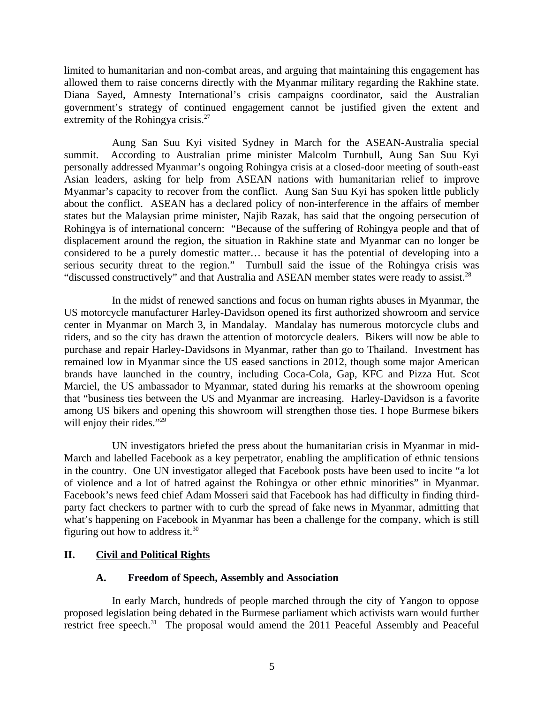limited to humanitarian and non-combat areas, and arguing that maintaining this engagement has allowed them to raise concerns directly with the Myanmar military regarding the Rakhine state. Diana Sayed, Amnesty International's crisis campaigns coordinator, said the Australian government's strategy of continued engagement cannot be justified given the extent and extremity of the Rohingya crisis.<sup>27</sup>

Aung San Suu Kyi visited Sydney in March for the ASEAN-Australia special summit. According to Australian prime minister Malcolm Turnbull, Aung San Suu Kyi personally addressed Myanmar's ongoing Rohingya crisis at a closed-door meeting of south-east Asian leaders, asking for help from ASEAN nations with humanitarian relief to improve Myanmar's capacity to recover from the conflict. Aung San Suu Kyi has spoken little publicly about the conflict. ASEAN has a declared policy of non-interference in the affairs of member states but the Malaysian prime minister, Najib Razak, has said that the ongoing persecution of Rohingya is of international concern: "Because of the suffering of Rohingya people and that of displacement around the region, the situation in Rakhine state and Myanmar can no longer be considered to be a purely domestic matter… because it has the potential of developing into a serious security threat to the region." Turnbull said the issue of the Rohingya crisis was "discussed constructively" and that Australia and ASEAN member states were ready to assist. $^{28}$ 

In the midst of renewed sanctions and focus on human rights abuses in Myanmar, the US motorcycle manufacturer Harley-Davidson opened its first authorized showroom and service center in Myanmar on March 3, in Mandalay. Mandalay has numerous motorcycle clubs and riders, and so the city has drawn the attention of motorcycle dealers. Bikers will now be able to purchase and repair Harley-Davidsons in Myanmar, rather than go to Thailand. Investment has remained low in Myanmar since the US eased sanctions in 2012, though some major American brands have launched in the country, including Coca-Cola, Gap, KFC and Pizza Hut. Scot Marciel, the US ambassador to Myanmar, stated during his remarks at the showroom opening that "business ties between the US and Myanmar are increasing. Harley-Davidson is a favorite among US bikers and opening this showroom will strengthen those ties. I hope Burmese bikers will enjoy their rides."<sup>29</sup>

UN investigators briefed the press about the humanitarian crisis in Myanmar in mid-March and labelled Facebook as a key perpetrator, enabling the amplification of ethnic tensions in the country. One UN investigator alleged that Facebook posts have been used to incite "a lot of violence and a lot of hatred against the Rohingya or other ethnic minorities" in Myanmar. Facebook's news feed chief Adam Mosseri said that Facebook has had difficulty in finding thirdparty fact checkers to partner with to curb the spread of fake news in Myanmar, admitting that what's happening on Facebook in Myanmar has been a challenge for the company, which is still figuring out how to address it.<sup>30</sup>

## **II. Civil and Political Rights**

### <span id="page-4-1"></span><span id="page-4-0"></span>**A. Freedom of Speech, Assembly and Association**

In early March, hundreds of people marched through the city of Yangon to oppose proposed legislation being debated in the Burmese parliament which activists warn would further restrict free speech.<sup>31</sup> The proposal would amend the 2011 Peaceful Assembly and Peaceful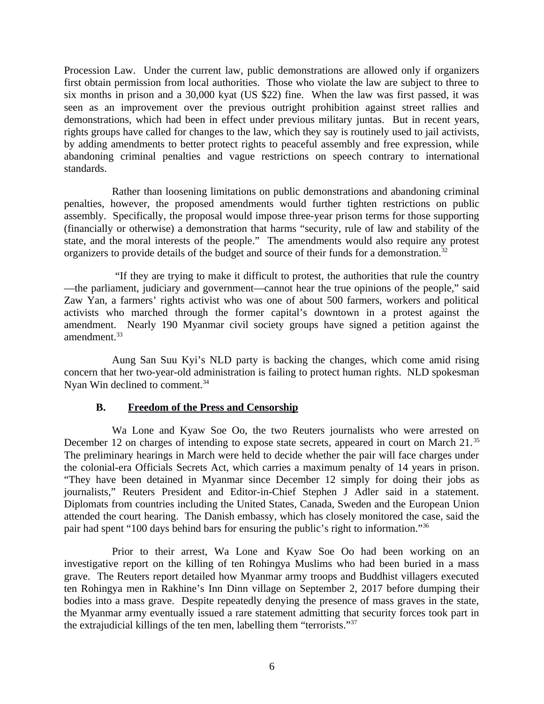Procession Law. Under the current law, public demonstrations are allowed only if organizers first obtain permission from local authorities. Those who violate the law are subject to three to six months in prison and a 30,000 kyat (US \$22) fine. When the law was first passed, it was seen as an improvement over the previous outright prohibition against street rallies and demonstrations, which had been in effect under previous military juntas. But in recent years, rights groups have called for changes to the law, which they say is routinely used to jail activists, by adding amendments to better protect rights to peaceful assembly and free expression, while abandoning criminal penalties and vague restrictions on speech contrary to international standards.

Rather than loosening limitations on public demonstrations and abandoning criminal penalties, however, the proposed amendments would further tighten restrictions on public assembly. Specifically, the proposal would impose three-year prison terms for those supporting (financially or otherwise) a demonstration that harms "security, rule of law and stability of the state, and the moral interests of the people." The amendments would also require any protest organizers to provide details of the budget and source of their funds for a demonstration.<sup>32</sup>

 "If they are trying to make it difficult to protest, the authorities that rule the country —the parliament, judiciary and government—cannot hear the true opinions of the people," said Zaw Yan, a farmers' rights activist who was one of about 500 farmers, workers and political activists who marched through the former capital's downtown in a protest against the amendment. Nearly 190 Myanmar civil society groups have signed a petition against the amendment.<sup>33</sup>

Aung San Suu Kyi's NLD party is backing the changes, which come amid rising concern that her two-year-old administration is failing to protect human rights. NLD spokesman Nyan Win declined to comment.<sup>34</sup>

### <span id="page-5-0"></span>**B. Freedom of the Press and Censorship**

Wa Lone and Kyaw Soe Oo, the two Reuters journalists who were arrested on December 12 on charges of intending to expose state secrets, appeared in court on March 21.<sup>35</sup> The preliminary hearings in March were held to decide whether the pair will face charges under the colonial-era Officials Secrets Act, which carries a maximum penalty of 14 years in prison. "They have been detained in Myanmar since December 12 simply for doing their jobs as journalists," Reuters President and Editor-in-Chief Stephen J Adler said in a statement. Diplomats from countries including the United States, Canada, Sweden and the European Union attended the court hearing. The Danish embassy, which has closely monitored the case, said the pair had spent "100 days behind bars for ensuring the public's right to information."<sup>36</sup>

Prior to their arrest, Wa Lone and Kyaw Soe Oo had been working on an investigative report on the killing of ten Rohingya Muslims who had been buried in a mass grave. The Reuters report detailed how Myanmar army troops and Buddhist villagers executed ten Rohingya men in Rakhine's Inn Dinn village on September 2, 2017 before dumping their bodies into a mass grave. Despite repeatedly denying the presence of mass graves in the state, the Myanmar army eventually issued a rare statement admitting that security forces took part in the extrajudicial killings of the ten men, labelling them "terrorists."<sup>37</sup>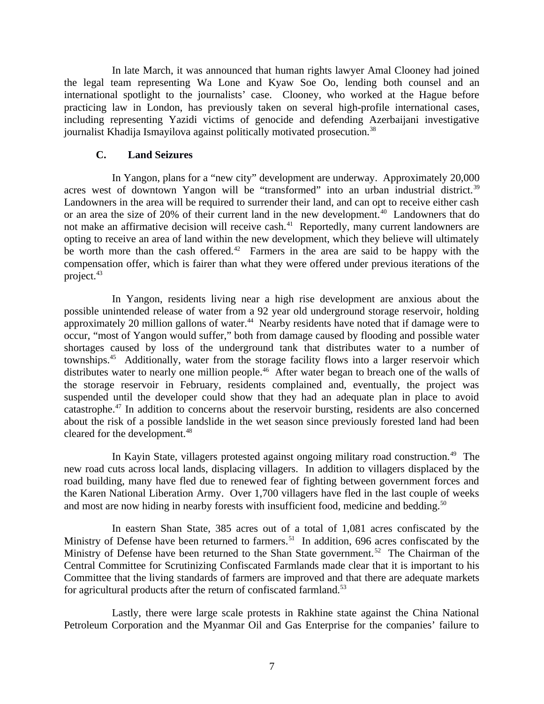In late March, it was announced that human rights lawyer Amal Clooney had joined the legal team representing Wa Lone and Kyaw Soe Oo, lending both counsel and an international spotlight to the journalists' case. Clooney, who worked at the Hague before practicing law in London, has previously taken on several high-profile international cases, including representing Yazidi victims of genocide and defending Azerbaijani investigative journalist Khadija Ismayilova against politically motivated prosecution.<sup>38</sup>

### <span id="page-6-0"></span>**C. Land Seizures**

In Yangon, plans for a "new city" development are underway. Approximately 20,000 acres west of downtown Yangon will be "transformed" into an urban industrial district.<sup>39</sup> Landowners in the area will be required to surrender their land, and can opt to receive either cash or an area the size of 20% of their current land in the new development.<sup>40</sup> Landowners that do not make an affirmative decision will receive cash.<sup>41</sup> Reportedly, many current landowners are opting to receive an area of land within the new development, which they believe will ultimately be worth more than the cash offered.<sup>42</sup> Farmers in the area are said to be happy with the compensation offer, which is fairer than what they were offered under previous iterations of the project.<sup>43</sup>

In Yangon, residents living near a high rise development are anxious about the possible unintended release of water from a 92 year old underground storage reservoir, holding approximately 20 million gallons of water.<sup>44</sup> Nearby residents have noted that if damage were to occur, "most of Yangon would suffer," both from damage caused by flooding and possible water shortages caused by loss of the underground tank that distributes water to a number of townships.<sup>45</sup> Additionally, water from the storage facility flows into a larger reservoir which distributes water to nearly one million people.<sup>46</sup> After water began to breach one of the walls of the storage reservoir in February, residents complained and, eventually, the project was suspended until the developer could show that they had an adequate plan in place to avoid catastrophe.<sup>47</sup> In addition to concerns about the reservoir bursting, residents are also concerned about the risk of a possible landslide in the wet season since previously forested land had been cleared for the development.<sup>48</sup>

In Kayin State, villagers protested against ongoing military road construction.<sup>49</sup> The new road cuts across local lands, displacing villagers. In addition to villagers displaced by the road building, many have fled due to renewed fear of fighting between government forces and the Karen National Liberation Army. Over 1,700 villagers have fled in the last couple of weeks and most are now hiding in nearby forests with insufficient food, medicine and bedding.<sup>50</sup>

In eastern Shan State, 385 acres out of a total of 1,081 acres confiscated by the Ministry of Defense have been returned to farmers.<sup>51</sup> In addition, 696 acres confiscated by the Ministry of Defense have been returned to the Shan State government.<sup>52</sup> The Chairman of the Central Committee for Scrutinizing Confiscated Farmlands made clear that it is important to his Committee that the living standards of farmers are improved and that there are adequate markets for agricultural products after the return of confiscated farmland.<sup>53</sup>

Lastly, there were large scale protests in Rakhine state against the China National Petroleum Corporation and the Myanmar Oil and Gas Enterprise for the companies' failure to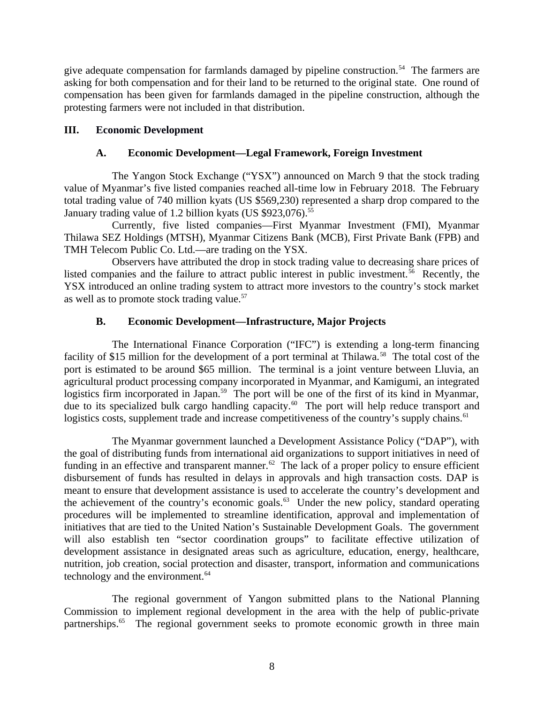give adequate compensation for farmlands damaged by pipeline construction.<sup>54</sup> The farmers are asking for both compensation and for their land to be returned to the original state. One round of compensation has been given for farmlands damaged in the pipeline construction, although the protesting farmers were not included in that distribution.

## **III. Economic Development**

## <span id="page-7-2"></span><span id="page-7-1"></span>**A. Economic Development—Legal Framework, Foreign Investment**

The Yangon Stock Exchange ("YSX") announced on March 9 that the stock trading value of Myanmar's five listed companies reached all-time low in February 2018. The February total trading value of 740 million kyats (US \$569,230) represented a sharp drop compared to the January trading value of 1.2 billion kyats (US \$923,076).<sup>55</sup>

Currently, five listed companies—First Myanmar Investment (FMI), Myanmar Thilawa SEZ Holdings (MTSH), Myanmar Citizens Bank (MCB), First Private Bank (FPB) and TMH Telecom Public Co. Ltd.—are trading on the YSX.

Observers have attributed the drop in stock trading value to decreasing share prices of listed companies and the failure to attract public interest in public investment.<sup>56</sup> Recently, the YSX introduced an online trading system to attract more investors to the country's stock market as well as to promote stock trading value.<sup>57</sup>

## <span id="page-7-0"></span>**B. Economic Development—Infrastructure, Major Projects**

The International Finance Corporation ("IFC") is extending a long-term financing facility of \$15 million for the development of a port terminal at Thilawa.<sup>58</sup> The total cost of the port is estimated to be around \$65 million. The terminal is a joint venture between Lluvia, an agricultural product processing company incorporated in Myanmar, and Kamigumi, an integrated logistics firm incorporated in Japan.<sup>59</sup> The port will be one of the first of its kind in Myanmar, due to its specialized bulk cargo handling capacity.<sup>60</sup> The port will help reduce transport and logistics costs, supplement trade and increase competitiveness of the country's supply chains.<sup>61</sup>

The Myanmar government launched a Development Assistance Policy ("DAP"), with the goal of distributing funds from international aid organizations to support initiatives in need of funding in an effective and transparent manner.<sup>62</sup> The lack of a proper policy to ensure efficient disbursement of funds has resulted in delays in approvals and high transaction costs. DAP is meant to ensure that development assistance is used to accelerate the country's development and the achievement of the country's economic goals.<sup>63</sup> Under the new policy, standard operating procedures will be implemented to streamline identification, approval and implementation of initiatives that are tied to the United Nation's Sustainable Development Goals. The government will also establish ten "sector coordination groups" to facilitate effective utilization of development assistance in designated areas such as agriculture, education, energy, healthcare, nutrition, job creation, social protection and disaster, transport, information and communications technology and the environment. $64$ 

The regional government of Yangon submitted plans to the National Planning Commission to implement regional development in the area with the help of public-private partnerships.<sup>65</sup> The regional government seeks to promote economic growth in three main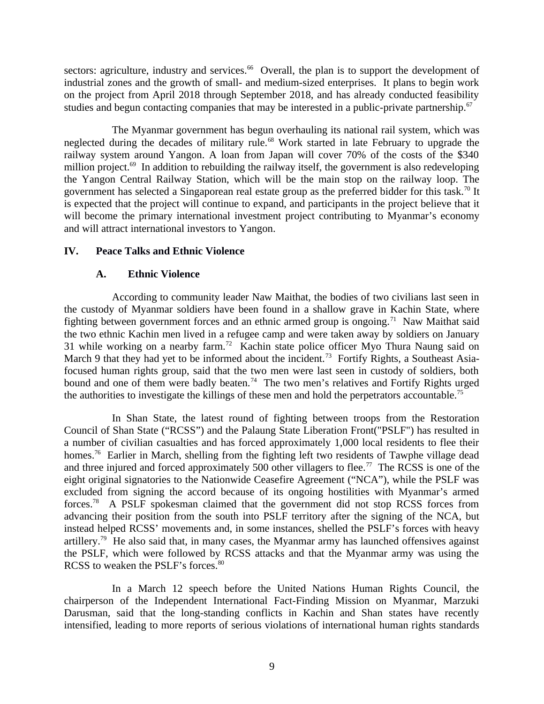sectors: agriculture, industry and services.<sup>66</sup> Overall, the plan is to support the development of industrial zones and the growth of small- and medium-sized enterprises. It plans to begin work on the project from April 2018 through September 2018, and has already conducted feasibility studies and begun contacting companies that may be interested in a public-private partnership.<sup>67</sup>

The Myanmar government has begun overhauling its national rail system, which was neglected during the decades of military rule.<sup>68</sup> Work started in late February to upgrade the railway system around Yangon. A loan from Japan will cover 70% of the costs of the \$340 million project. $69$  In addition to rebuilding the railway itself, the government is also redeveloping the Yangon Central Railway Station, which will be the main stop on the railway loop. The government has selected a Singaporean real estate group as the preferred bidder for this task.<sup>70</sup> It is expected that the project will continue to expand, and participants in the project believe that it will become the primary international investment project contributing to Myanmar's economy and will attract international investors to Yangon.

## **IV. Peace Talks and Ethnic Violence**

### <span id="page-8-1"></span><span id="page-8-0"></span>**A. Ethnic Violence**

According to community leader Naw Maithat, the bodies of two civilians last seen in the custody of Myanmar soldiers have been found in a shallow grave in Kachin State, where fighting between government forces and an ethnic armed group is ongoing.<sup>71</sup> Naw Maithat said the two ethnic Kachin men lived in a refugee camp and were taken away by soldiers on January 31 while working on a nearby farm.<sup>72</sup> Kachin state police officer Myo Thura Naung said on March 9 that they had yet to be informed about the incident.<sup>73</sup> Fortify Rights, a Southeast Asiafocused human rights group, said that the two men were last seen in custody of soldiers, both bound and one of them were badly beaten.<sup>74</sup> The two men's relatives and Fortify Rights urged the authorities to investigate the killings of these men and hold the perpetrators accountable.<sup>75</sup>

In Shan State, the latest round of fighting between troops from the Restoration Council of Shan State ("RCSS") and the Palaung State Liberation Front("PSLF") has resulted in a number of civilian casualties and has forced approximately 1,000 local residents to flee their homes.<sup>76</sup> Earlier in March, shelling from the fighting left two residents of Tawphe village dead and three injured and forced approximately 500 other villagers to flee.<sup>77</sup> The RCSS is one of the eight original signatories to the Nationwide Ceasefire Agreement ("NCA"), while the PSLF was excluded from signing the accord because of its ongoing hostilities with Myanmar's armed forces.<sup>78</sup> A PSLF spokesman claimed that the government did not stop RCSS forces from advancing their position from the south into PSLF territory after the signing of the NCA, but instead helped RCSS' movements and, in some instances, shelled the PSLF's forces with heavy artillery.<sup>79</sup> He also said that, in many cases, the Myanmar army has launched offensives against the PSLF, which were followed by RCSS attacks and that the Myanmar army was using the RCSS to weaken the PSLF's forces.<sup>80</sup>

In a March 12 speech before the United Nations Human Rights Council, the chairperson of the Independent International Fact-Finding Mission on Myanmar, Marzuki Darusman, said that the long-standing conflicts in Kachin and Shan states have recently intensified, leading to more reports of serious violations of international human rights standards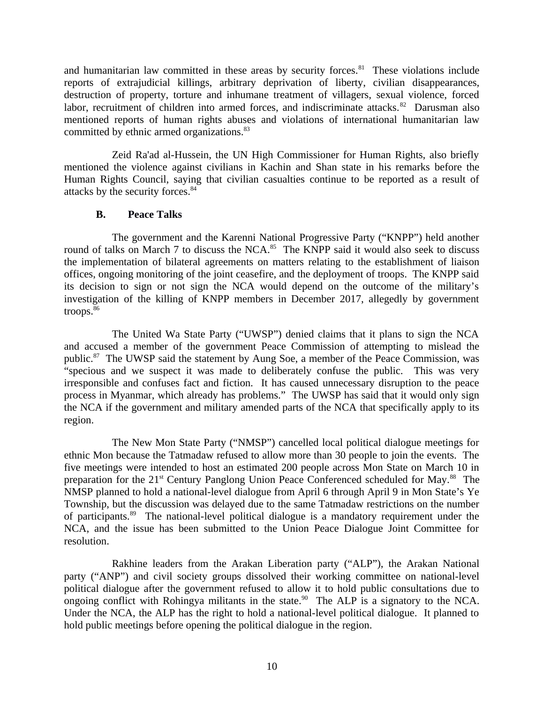and humanitarian law committed in these areas by security forces.<sup>81</sup> These violations include reports of extrajudicial killings, arbitrary deprivation of liberty, civilian disappearances, destruction of property, torture and inhumane treatment of villagers, sexual violence, forced labor, recruitment of children into armed forces, and indiscriminate attacks. $82$  Darusman also mentioned reports of human rights abuses and violations of international humanitarian law committed by ethnic armed organizations.<sup>83</sup>

Zeid Ra'ad al-Hussein, the UN High Commissioner for Human Rights, also briefly mentioned the violence against civilians in Kachin and Shan state in his remarks before the Human Rights Council, saying that civilian casualties continue to be reported as a result of attacks by the security forces.<sup>84</sup>

## <span id="page-9-0"></span>**B. Peace Talks**

The government and the Karenni National Progressive Party ("KNPP") held another round of talks on March 7 to discuss the NCA.<sup>85</sup> The KNPP said it would also seek to discuss the implementation of bilateral agreements on matters relating to the establishment of liaison offices, ongoing monitoring of the joint ceasefire, and the deployment of troops. The KNPP said its decision to sign or not sign the NCA would depend on the outcome of the military's investigation of the killing of KNPP members in December 2017, allegedly by government troops.<sup>86</sup>

The United Wa State Party ("UWSP") denied claims that it plans to sign the NCA and accused a member of the government Peace Commission of attempting to mislead the public.<sup>87</sup> The UWSP said the statement by Aung Soe, a member of the Peace Commission, was "specious and we suspect it was made to deliberately confuse the public. This was very irresponsible and confuses fact and fiction. It has caused unnecessary disruption to the peace process in Myanmar, which already has problems." The UWSP has said that it would only sign the NCA if the government and military amended parts of the NCA that specifically apply to its region.

The New Mon State Party ("NMSP") cancelled local political dialogue meetings for ethnic Mon because the Tatmadaw refused to allow more than 30 people to join the events. The five meetings were intended to host an estimated 200 people across Mon State on March 10 in preparation for the 21<sup>st</sup> Century Panglong Union Peace Conferenced scheduled for May.<sup>88</sup> The NMSP planned to hold a national-level dialogue from April 6 through April 9 in Mon State's Ye Township, but the discussion was delayed due to the same Tatmadaw restrictions on the number of participants.<sup>89</sup> The national-level political dialogue is a mandatory requirement under the NCA, and the issue has been submitted to the Union Peace Dialogue Joint Committee for resolution.

Rakhine leaders from the Arakan Liberation party ("ALP"), the Arakan National party ("ANP") and civil society groups dissolved their working committee on national-level political dialogue after the government refused to allow it to hold public consultations due to ongoing conflict with Rohingya militants in the state.<sup>90</sup> The ALP is a signatory to the NCA. Under the NCA, the ALP has the right to hold a national-level political dialogue. It planned to hold public meetings before opening the political dialogue in the region.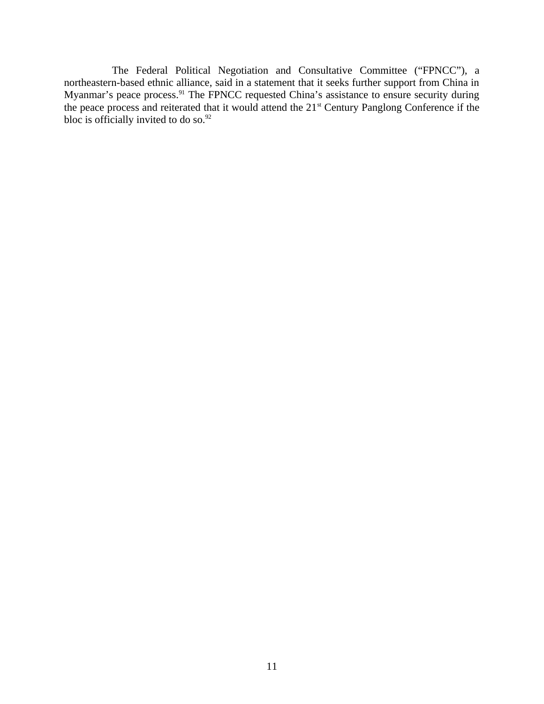The Federal Political Negotiation and Consultative Committee ("FPNCC"), a northeastern-based ethnic alliance, said in a statement that it seeks further support from China in Myanmar's peace process.<sup>91</sup> The FPNCC requested China's assistance to ensure security during the peace process and reiterated that it would attend the 21<sup>st</sup> Century Panglong Conference if the bloc is officially invited to do so. $92$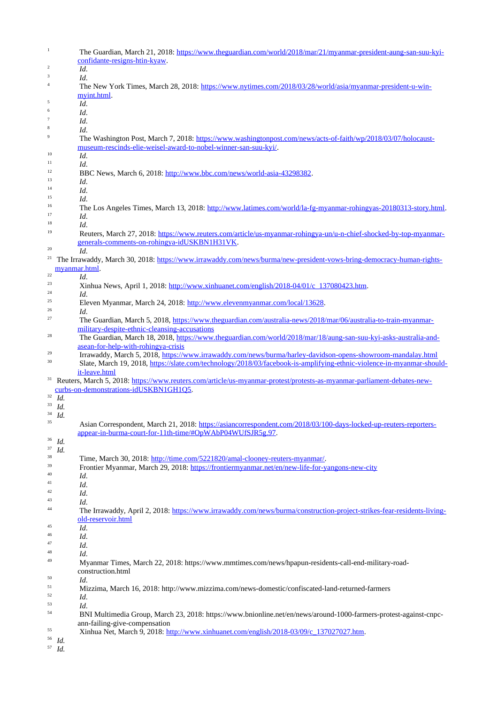| $\,1\,$          | The Guardian, March 21, 2018: https://www.theguardian.com/world/2018/mar/21/myanmar-president-aung-san-suu-kvi-                                                                   |
|------------------|-----------------------------------------------------------------------------------------------------------------------------------------------------------------------------------|
|                  | confidante-resigns-htin-kyaw.                                                                                                                                                     |
| $\,2$            | Id.                                                                                                                                                                               |
| 3                | Id.                                                                                                                                                                               |
| $\sqrt{4}$       | The New York Times, March 28, 2018: https://www.nytimes.com/2018/03/28/world/asia/myanmar-president-u-win-                                                                        |
|                  | myint.html.                                                                                                                                                                       |
| 5                | Id.                                                                                                                                                                               |
| 6                | Id.                                                                                                                                                                               |
| $\boldsymbol{7}$ | Id.                                                                                                                                                                               |
| 8                | Id.                                                                                                                                                                               |
| $\boldsymbol{9}$ | The Washington Post, March 7, 2018: https://www.washingtonpost.com/news/acts-of-faith/wp/2018/03/07/holocaust-<br>museum-rescinds-elie-weisel-award-to-nobel-winner-san-suu-kvi/. |
| 10               | Id.                                                                                                                                                                               |
| 11               | Id.                                                                                                                                                                               |
| 12               | BBC News, March 6, 2018: http://www.bbc.com/news/world-asia-43298382.                                                                                                             |
| 13               | Id.                                                                                                                                                                               |
| 14               | Id.                                                                                                                                                                               |
| 15               | Id.                                                                                                                                                                               |
| 16               | The Los Angeles Times, March 13, 2018: http://www.latimes.com/world/la-fg-myanmar-rohingyas-20180313-story.html.                                                                  |
| 17               | Id.                                                                                                                                                                               |
| 18               | Id.                                                                                                                                                                               |
| 19               | Reuters, March 27, 2018: https://www.reuters.com/article/us-myanmar-rohingya-un/u-n-chief-shocked-by-top-myanmar-<br>generals-comments-on-rohingya-idUSKBN1H31VK.                 |
| 20               | Id.                                                                                                                                                                               |
| 21               | The Irrawaddy, March 30, 2018: https://www.irrawaddy.com/news/burma/new-president-vows-bring-democracy-human-rights-<br>myanmar.html.                                             |
| 22               | Id.                                                                                                                                                                               |
| 23               | Xinhua News, April 1, 2018: http://www.xinhuanet.com/english/2018-04/01/c 137080423.htm.                                                                                          |
| 24               | Id.                                                                                                                                                                               |
| 25               | Eleven Myanmar, March 24, 2018: http://www.elevenmyanmar.com/local/13628.                                                                                                         |
| 26               | Id.                                                                                                                                                                               |
| 27               | The Guardian, March 5, 2018, https://www.theguardian.com/australia-news/2018/mar/06/australia-to-train-myanmar-                                                                   |
|                  | military-despite-ethnic-cleansing-accusations                                                                                                                                     |
| 28               | The Guardian, March 18, 2018, https://www.theguardian.com/world/2018/mar/18/aung-san-suu-kyi-asks-australia-and-<br>asean-for-help-with-rohingya-crisis                           |
| 29               | Irrawaddy, March 5, 2018, https://www.irrawaddy.com/news/burma/harley-davidson-opens-showroom-mandalay.html                                                                       |
| 30               | Slate, March 19, 2018, https://slate.com/technology/2018/03/facebook-is-amplifying-ethnic-violence-in-myanmar-should-<br>it-leave.html                                            |
| 31               | Reuters, March 5, 2018: https://www.reuters.com/article/us-myanmar-protest/protests-as-myanmar-parliament-debates-new-                                                            |
|                  | curbs-on-demonstrations-idUSKBN1GH1Q5.                                                                                                                                            |
| $32\,$           | Id.                                                                                                                                                                               |
| 33               | Id.                                                                                                                                                                               |
| 34               | Id.                                                                                                                                                                               |
| 35               | Asian Correspondent, March 21, 2018: https://asiancorrespondent.com/2018/03/100-days-locked-up-reuters-reporters-                                                                 |
|                  | appear-in-burma-court-for-11th-time/#OpWAbP04WUfSJR5g.97.                                                                                                                         |
| 36               | Id.                                                                                                                                                                               |
| 37               | Id.                                                                                                                                                                               |
| 38               | Time, March 30, 2018: http://time.com/5221820/amal-clooney-reuters-myanmar/.                                                                                                      |
| 39               | Frontier Myanmar, March 29, 2018: https://frontiermyanmar.net/en/new-life-for-yangons-new-city                                                                                    |
| 40               | Id.                                                                                                                                                                               |
| 41               | Id.                                                                                                                                                                               |
| 42               | Id.                                                                                                                                                                               |
| 43               | Id.                                                                                                                                                                               |
| 44               | The Irrawaddy, April 2, 2018: https://www.irrawaddy.com/news/burma/construction-project-strikes-fear-residents-living-                                                            |
|                  | old-reservoir.html                                                                                                                                                                |
| 45               | Id.                                                                                                                                                                               |
| 46               | Id.                                                                                                                                                                               |
| 47               | Id.                                                                                                                                                                               |
| 48               | Id.                                                                                                                                                                               |
| 49               | Myanmar Times, March 22, 2018: https://www.mmtimes.com/news/hpapun-residents-call-end-military-road-                                                                              |
| 50               | construction.html<br>Id.                                                                                                                                                          |
| 51               | Mizzima, March 16, 2018: http://www.mizzima.com/news-domestic/confiscated-land-returned-farmers                                                                                   |
| 52               | Id.                                                                                                                                                                               |
| 53               | Id.                                                                                                                                                                               |
| 54               |                                                                                                                                                                                   |
|                  |                                                                                                                                                                                   |
|                  | BNI Multimedia Group, March 23, 2018: https://www.bnionline.net/en/news/around-1000-farmers-protest-against-cnpc-                                                                 |
| 55               | ann-failing-give-compensation<br>Xinhua Net, March 9, 2018: http://www.xinhuanet.com/english/2018-03/09/c 137027027.htm.                                                          |
| 56               | Id.<br>$^{57}$ $\,$ Id.                                                                                                                                                           |